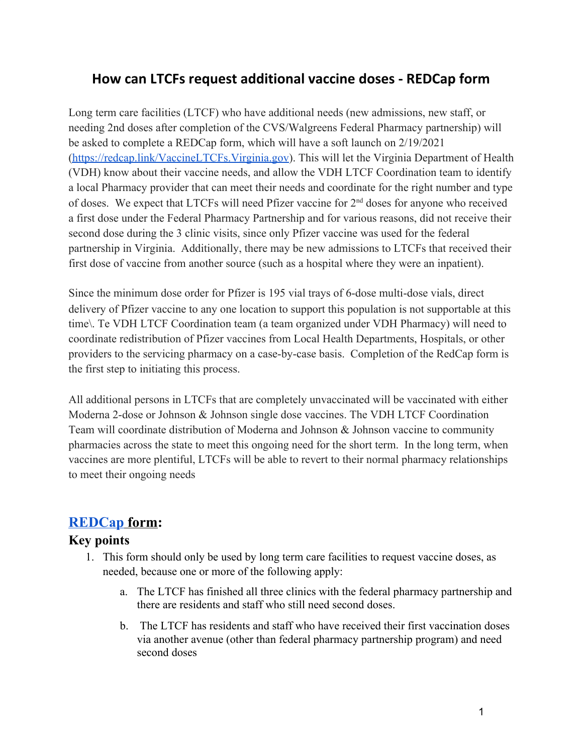# **How can LTCFs request additional vaccine doses - REDCap form**

Long term care facilities (LTCF) who have additional needs (new admissions, new staff, or needing 2nd doses after completion of the CVS/Walgreens Federal Pharmacy partnership) will be asked to complete a REDCap form, which will have a soft launch on 2/19/2021 ([https://redcap.link/VaccineLTCFs.Virginia.gov\)](https://redcap.link/VaccineLTCFs.Virginia.gov). This will let the Virginia Department of Health (VDH) know about their vaccine needs, and allow the VDH LTCF Coordination team to identify a local Pharmacy provider that can meet their needs and coordinate for the right number and type of doses. We expect that LTCFs will need Pfizer vaccine for  $2<sup>nd</sup>$  doses for anyone who received a first dose under the Federal Pharmacy Partnership and for various reasons, did not receive their second dose during the 3 clinic visits, since only Pfizer vaccine was used for the federal partnership in Virginia. Additionally, there may be new admissions to LTCFs that received their first dose of vaccine from another source (such as a hospital where they were an inpatient).

Since the minimum dose order for Pfizer is 195 vial trays of 6-dose multi-dose vials, direct delivery of Pfizer vaccine to any one location to support this population is not supportable at this time\. Te VDH LTCF Coordination team (a team organized under VDH Pharmacy) will need to coordinate redistribution of Pfizer vaccines from Local Health Departments, Hospitals, or other providers to the servicing pharmacy on a case-by-case basis. Completion of the RedCap form is the first step to initiating this process.

All additional persons in LTCFs that are completely unvaccinated will be vaccinated with either Moderna 2-dose or Johnson & Johnson single dose vaccines. The VDH LTCF Coordination Team will coordinate distribution of Moderna and Johnson & Johnson vaccine to community pharmacies across the state to meet this ongoing need for the short term. In the long term, when vaccines are more plentiful, LTCFs will be able to revert to their normal pharmacy relationships to meet their ongoing needs

## **[REDCap](https://redcap.vdh.virginia.gov/redcap/surveys/?s=X9RMEPJHRX) form:**

#### **Key points**

- 1. This form should only be used by long term care facilities to request vaccine doses, as needed, because one or more of the following apply:
	- a. The LTCF has finished all three clinics with the federal pharmacy partnership and there are residents and staff who still need second doses.
	- b. The LTCF has residents and staff who have received their first vaccination doses via another avenue (other than federal pharmacy partnership program) and need second doses